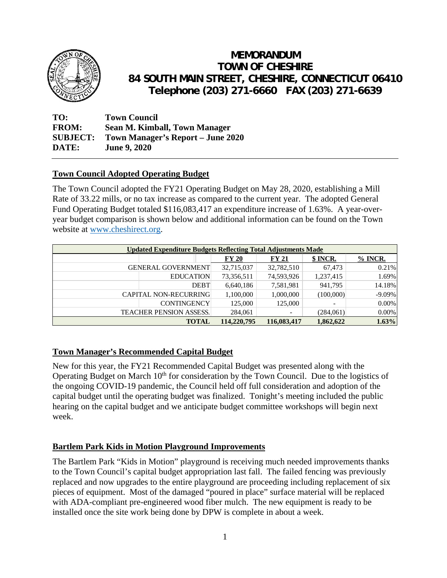

# **MEMORANDUM TOWN OF CHESHIRE 84 SOUTH MAIN STREET, CHESHIRE, CONNECTICUT 06410 Telephone (203) 271-6660 FAX (203) 271-6639**

**TO: Town Council FROM: Sean M. Kimball, Town Manager SUBJECT: Town Manager's Report – June 2020 DATE: June 9, 2020** 

# **Town Council Adopted Operating Budget**

The Town Council adopted the FY21 Operating Budget on May 28, 2020, establishing a Mill Rate of 33.22 mills, or no tax increase as compared to the current year. The adopted General Fund Operating Budget totaled \$116,083,417 an expenditure increase of 1.63%. A year-overyear budget comparison is shown below and additional information can be found on the Town website at www.cheshirect.org.

| Updated Expenditure Budgets Reflecting Total Adjustments Made |                    |             |             |           |           |  |
|---------------------------------------------------------------|--------------------|-------------|-------------|-----------|-----------|--|
|                                                               |                    | FY 20       | FY 21       | \$ INCR.  | $%$ INCR. |  |
| <b>GENERAL GOVERNMENT</b>                                     |                    | 32,715,037  | 32,782,510  | 67,473    | 0.21%     |  |
|                                                               | <b>EDUCATION</b>   | 73,356,511  | 74,593,926  | 1,237,415 | 1.69%     |  |
|                                                               | <b>DEBT</b>        | 6,640,186   | 7,581,981   | 941,795   | 14.18%    |  |
| <b>CAPITAL NON-RECURRING</b>                                  |                    | 1,100,000   | 1,000,000   | (100,000) | $-9.09%$  |  |
|                                                               | <b>CONTINGENCY</b> | 125,000     | 125,000     |           | 0.00%     |  |
| <b>TEACHER PENSION ASSESS.</b>                                |                    | 284,061     |             | (284,061) | 0.00%     |  |
|                                                               | <b>TOTAL</b>       | 114,220,795 | 116,083,417 | 1,862,622 | 1.63%     |  |

## **Town Manager's Recommended Capital Budget**

New for this year, the FY21 Recommended Capital Budget was presented along with the Operating Budget on March  $10<sup>th</sup>$  for consideration by the Town Council. Due to the logistics of the ongoing COVID-19 pandemic, the Council held off full consideration and adoption of the capital budget until the operating budget was finalized. Tonight's meeting included the public hearing on the capital budget and we anticipate budget committee workshops will begin next week.

## **Bartlem Park Kids in Motion Playground Improvements**

The Bartlem Park "Kids in Motion" playground is receiving much needed improvements thanks to the Town Council's capital budget appropriation last fall. The failed fencing was previously replaced and now upgrades to the entire playground are proceeding including replacement of six pieces of equipment. Most of the damaged "poured in place" surface material will be replaced with ADA-compliant pre-engineered wood fiber mulch. The new equipment is ready to be installed once the site work being done by DPW is complete in about a week.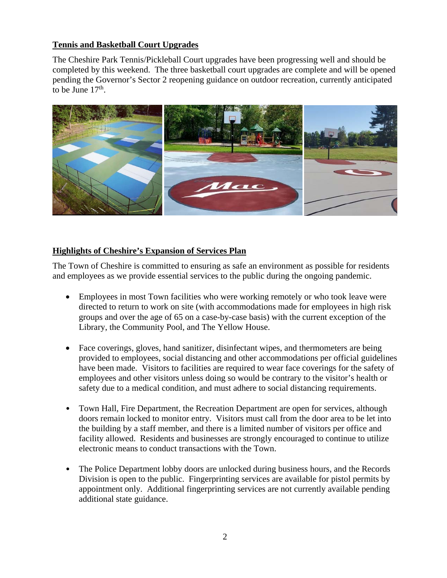#### **Tennis and Basketball Court Upgrades**

The Cheshire Park Tennis/Pickleball Court upgrades have been progressing well and should be completed by this weekend. The three basketball court upgrades are complete and will be opened pending the Governor's Sector 2 reopening guidance on outdoor recreation, currently anticipated to be June  $17<sup>th</sup>$ .



#### **Highlights of Cheshire's Expansion of Services Plan**

The Town of Cheshire is committed to ensuring as safe an environment as possible for residents and employees as we provide essential services to the public during the ongoing pandemic.

- Employees in most Town facilities who were working remotely or who took leave were directed to return to work on site (with accommodations made for employees in high risk groups and over the age of 65 on a case-by-case basis) with the current exception of the Library, the Community Pool, and The Yellow House.
- Face coverings, gloves, hand sanitizer, disinfectant wipes, and thermometers are being provided to employees, social distancing and other accommodations per official guidelines have been made. Visitors to facilities are required to wear face coverings for the safety of employees and other visitors unless doing so would be contrary to the visitor's health or safety due to a medical condition, and must adhere to social distancing requirements.
- Town Hall, Fire Department, the Recreation Department are open for services, although doors remain locked to monitor entry. Visitors must call from the door area to be let into the building by a staff member, and there is a limited number of visitors per office and facility allowed. Residents and businesses are strongly encouraged to continue to utilize electronic means to conduct transactions with the Town.
- The Police Department lobby doors are unlocked during business hours, and the Records Division is open to the public. Fingerprinting services are available for pistol permits by appointment only. Additional fingerprinting services are not currently available pending additional state guidance.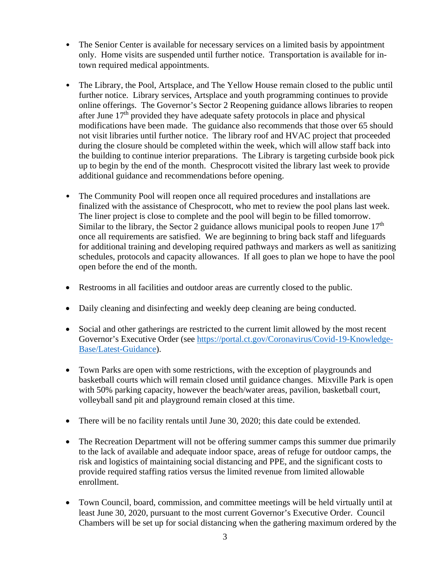- The Senior Center is available for necessary services on a limited basis by appointment only. Home visits are suspended until further notice. Transportation is available for intown required medical appointments.
- The Library, the Pool, Artsplace, and The Yellow House remain closed to the public until further notice. Library services, Artsplace and youth programming continues to provide online offerings. The Governor's Sector 2 Reopening guidance allows libraries to reopen after June 17<sup>th</sup> provided they have adequate safety protocols in place and physical modifications have been made. The guidance also recommends that those over 65 should not visit libraries until further notice. The library roof and HVAC project that proceeded during the closure should be completed within the week, which will allow staff back into the building to continue interior preparations. The Library is targeting curbside book pick up to begin by the end of the month. Chesprocott visited the library last week to provide additional guidance and recommendations before opening.
- The Community Pool will reopen once all required procedures and installations are finalized with the assistance of Chesprocott, who met to review the pool plans last week. The liner project is close to complete and the pool will begin to be filled tomorrow. Similar to the library, the Sector 2 guidance allows municipal pools to reopen June  $17<sup>th</sup>$ once all requirements are satisfied. We are beginning to bring back staff and lifeguards for additional training and developing required pathways and markers as well as sanitizing schedules, protocols and capacity allowances. If all goes to plan we hope to have the pool open before the end of the month.
- Restrooms in all facilities and outdoor areas are currently closed to the public.
- Daily cleaning and disinfecting and weekly deep cleaning are being conducted.
- Social and other gatherings are restricted to the current limit allowed by the most recent Governor's Executive Order (see https://portal.ct.gov/Coronavirus/Covid-19-Knowledge-Base/Latest-Guidance).
- Town Parks are open with some restrictions, with the exception of playgrounds and basketball courts which will remain closed until guidance changes. Mixville Park is open with 50% parking capacity, however the beach/water areas, pavilion, basketball court, volleyball sand pit and playground remain closed at this time.
- There will be no facility rentals until June 30, 2020; this date could be extended.
- The Recreation Department will not be offering summer camps this summer due primarily to the lack of available and adequate indoor space, areas of refuge for outdoor camps, the risk and logistics of maintaining social distancing and PPE, and the significant costs to provide required staffing ratios versus the limited revenue from limited allowable enrollment.
- Town Council, board, commission, and committee meetings will be held virtually until at least June 30, 2020, pursuant to the most current Governor's Executive Order. Council Chambers will be set up for social distancing when the gathering maximum ordered by the